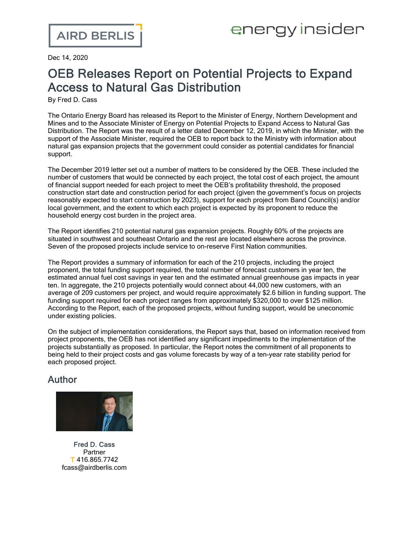Dec 14, 2020

## OEB Releases Report on Potential Projects to Expand Access to Natural Gas Distribution

By Fred D. Cass

The Ontario Energy Board has [released](https://www.oeb.ca/sites/default/files/OEB-Natural-Gas-Expansion-Report-to-Ministers-20201030.pdf) its Report to the Minister of Energy, Northern Development and Mines and to the Associate Minister of Energy on Potential Projects to Expand Access to Natural Gas Distribution. The Report was the result of a letter dated December 12, 2019, in which the Minister, with the support of the Associate Minister, required the OEB to report back to the Ministry with information about natural gas expansion projects that the government could consider as potential candidates for financial support.

The [December](https://www.oeb.ca/sites/default/files/Letter-to-OEB-natural-gas-expansion-20191212.pdf) 2019 letter set out a number of matters to be considered by the OEB. These included the number of customers that would be connected by each project, the total cost of each project, the amount of financial support needed for each project to meet the OEB's profitability threshold, the proposed construction start date and construction period for each project (given the government's focus on projects reasonably expected to start construction by 2023), support for each project from Band Council(s) and/or local government, and the extent to which each project is expected by its proponent to reduce the household energy cost burden in the project area.

The Report identifies 210 potential natural gas expansion projects. Roughly 60% of the projects are situated in southwest and southeast Ontario and the rest are located elsewhere across the province. Seven of the proposed projects include service to on-reserve First Nation communities.

The Report provides a summary of information for each of the 210 projects, including the project proponent, the total funding support required, the total number of forecast customers in year ten, the estimated annual fuel cost savings in year ten and the estimated annual greenhouse gas impacts in year ten. In aggregate, the 210 projects potentially would connect about 44,000 new customers, with an average of 209 customers per project, and would require approximately \$2.6 billion in funding support. The funding support required for each project ranges from approximately \$320,000 to over \$125 million. According to the Report, each of the proposed projects, without funding support, would be uneconomic under existing policies.

On the subject of implementation considerations, the Report says that, based on information received from project proponents, the OEB has not identified any significant impediments to the implementation of the projects substantially as proposed. In particular, the Report notes the commitment of all proponents to being held to their project costs and gas volume forecasts by way of a ten-year rate stability period for each proposed project.

## Author



Fred D. [Cass](https://www.airdberlis.com/people/bio/fred-d-cass) Partner T 416.865.7742 fcass@airdberlis.com